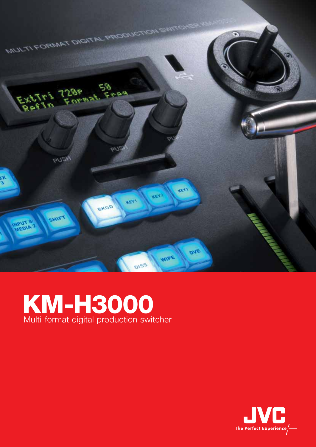

## KM-H3000 Multi-format digital production switcher

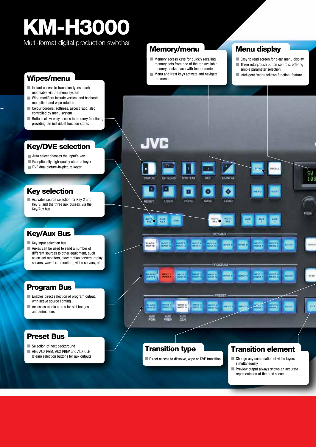# KM-H3000

Multi-format digital production switcher

- Instant access to transition types, each modifiable via the menu system
- Wipe modifiers include vertical and horizontal multipliers and wipe rotation
- Colour borders, softness, aspect ratio, also controlled by menu system
- **Buttons allow easy access to memory functions,** providing ten individual function stores

#### Key/DVE selection

- **Auto select chooses the input's key**
- **Exceptionally high-quality chroma keyer**
- DVE dual picture-in-picture keyer

#### Key selection

Activates source selection for Key 2 and Key 3, and the three aux busses, via the Key/Aux bus

#### Key/Aux Bus

- Key input selection bus
- **Auxes can be used to send a number of** different sources to other equipment, such as on-set monitors, slow motion servers, replay servers, waveform monitors, video servers, etc.

### Program Bus

- **Enables direct selection of program output,** with active source lighting
- **Accesses media stores for still images** and animations

#### Preset Bus

- Selection of next background
- Also AUX PGM, AUX PREV and AUX CLN (clean) selection buttons for aux outputs

#### Memory/menu

- **Memory access keys for quickly recalling** memory sets from one of the ten available memory banks, each with ten memories
- **Wipes/menu Wipes/menu the menu the menu the menu the menu the menu the menu the menu the menu the menu the menu the menu the menu the menu the menu the menu the menu the menu the menu the menu the menu the menu the menu**

#### Menu display

- Easy to read screen for clear menu display
- Three rotary/push button controls, offering simple parameter selection
- Intelligent 'menu follows function' feature



#### Transition type

Direct access to dissolve, wipe or DVE transition

#### Transition element

- Change any combination of video layers simultaneously
- **Preview output always shows an accurate** representation of the next scene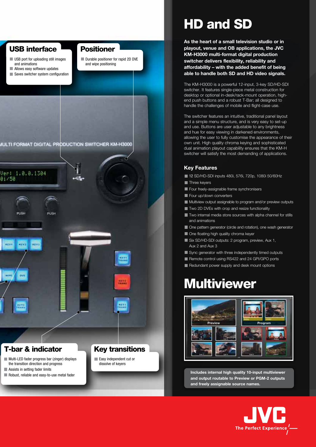

Robust, reliable and easy-to-use metal fader

## HD and SD

**As the heart of a small television studio or in playout, venue and OB applications, the JVC KM-H3000 multi-format digital production switcher delivers flexibility, reliability and affordability – with the added benefit of being able to handle both SD and HD video signals.**

The KM-H3000 is a powerful 12-input, 3-key SD/HD-SDI switcher. It features single-piece metal construction for desktop or optional in-desk/rack-mount operation, highend push buttons and a robust T-Bar; all designed to handle the challenges of mobile and flight-case use.

The switcher features an intuitive, traditional panel layout and a simple menu structure, and is very easy to set-up and use. Buttons are user adjustable to any brightness and hue for easy viewing in darkened environments, allowing the user to fully customise the appearance of their own unit. High quality chroma keying and sophisticated dual animation playout capability ensures that the KM-H switcher will satisfy the most demanding of applications.

#### **Key Features**

12 SD/HD-SDI inputs 480i, 576i, 720p, 1080i 50/60Hz

- **Three keyers**
- Four freely-assignable frame synchronisers
- Four up/down converters
- **Multiview output assignable to program and/or preview outputs**
- **Two 2D DVEs with crop and resize functionality**
- Two internal media store sources with alpha channel for stills and animations
- One pattern generator (circle and rotation), one wash generator
- One floating high quality chroma keyer
- Six SD/HD-SDI outputs: 2 program, preview, Aux 1, Aux 2 and Aux 3
- Sync generator with three independently timed outputs
- Remote control using RS422 and 24 GPI/GPO ports
- Redundant power supply and desk mount options

## **Multiviewer**



**Includes internal high quality 10-input multiviewer and output routable to Preview or PGM-2 outputs and freely assignable source names.**